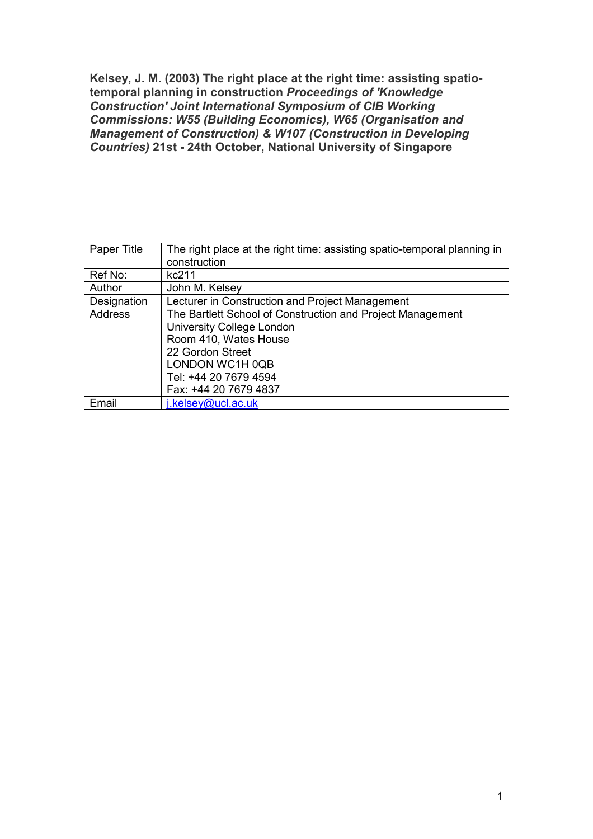Kelsey, J. M. (2003) The right place at the right time: assisting spatiotemporal planning in construction Proceedings of 'Knowledge Construction' Joint International Symposium of CIB Working Commissions: W55 (Building Economics), W65 (Organisation and Management of Construction) & W107 (Construction in Developing Countries) 21st - 24th October, National University of Singapore

| Paper Title | The right place at the right time: assisting spatio-temporal planning in<br>construction                                             |
|-------------|--------------------------------------------------------------------------------------------------------------------------------------|
| Ref No:     | kc211                                                                                                                                |
| Author      | John M. Kelsey                                                                                                                       |
| Designation | Lecturer in Construction and Project Management                                                                                      |
| Address     | The Bartlett School of Construction and Project Management<br>University College London<br>Room 410, Wates House<br>22 Gordon Street |
|             | LONDON WC1H 0QB<br>Tel: +44 20 7679 4594<br>Fax: +44 20 7679 4837                                                                    |
| Email       | i.kelsey@ucl.ac.uk                                                                                                                   |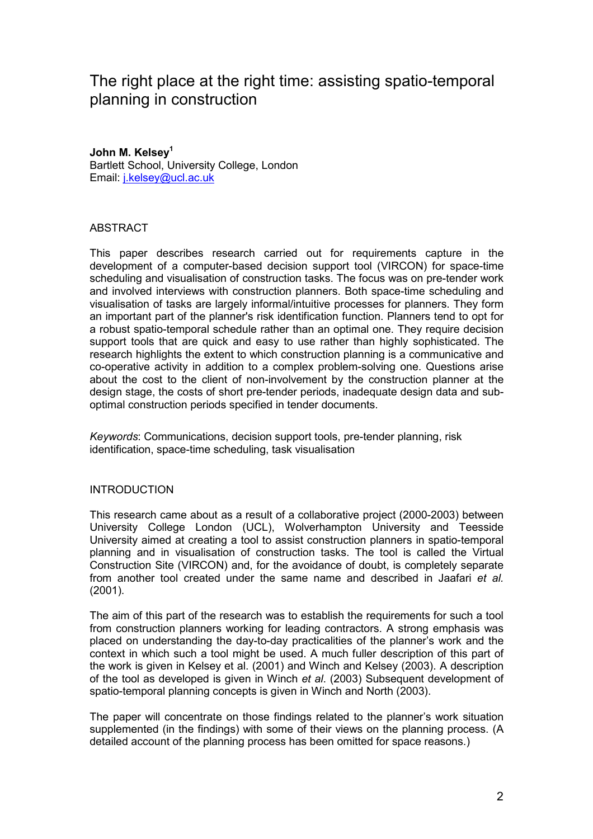# The right place at the right time: assisting spatio-temporal planning in construction

# John M. Kelsey<sup>1</sup>

Bartlett School, University College, London Email: j.kelsey@ucl.ac.uk

# **ABSTRACT**

This paper describes research carried out for requirements capture in the development of a computer-based decision support tool (VIRCON) for space-time scheduling and visualisation of construction tasks. The focus was on pre-tender work and involved interviews with construction planners. Both space-time scheduling and visualisation of tasks are largely informal/intuitive processes for planners. They form an important part of the planner's risk identification function. Planners tend to opt for a robust spatio-temporal schedule rather than an optimal one. They require decision support tools that are quick and easy to use rather than highly sophisticated. The research highlights the extent to which construction planning is a communicative and co-operative activity in addition to a complex problem-solving one. Questions arise about the cost to the client of non-involvement by the construction planner at the design stage, the costs of short pre-tender periods, inadequate design data and suboptimal construction periods specified in tender documents.

Keywords: Communications, decision support tools, pre-tender planning, risk identification, space-time scheduling, task visualisation

# INTRODUCTION

This research came about as a result of a collaborative project (2000-2003) between University College London (UCL), Wolverhampton University and Teesside University aimed at creating a tool to assist construction planners in spatio-temporal planning and in visualisation of construction tasks. The tool is called the Virtual Construction Site (VIRCON) and, for the avoidance of doubt, is completely separate from another tool created under the same name and described in Jaafari et al. (2001).

The aim of this part of the research was to establish the requirements for such a tool from construction planners working for leading contractors. A strong emphasis was placed on understanding the day-to-day practicalities of the planner's work and the context in which such a tool might be used. A much fuller description of this part of the work is given in Kelsey et al. (2001) and Winch and Kelsey (2003). A description of the tool as developed is given in Winch et al. (2003) Subsequent development of spatio-temporal planning concepts is given in Winch and North (2003).

The paper will concentrate on those findings related to the planner's work situation supplemented (in the findings) with some of their views on the planning process. (A detailed account of the planning process has been omitted for space reasons.)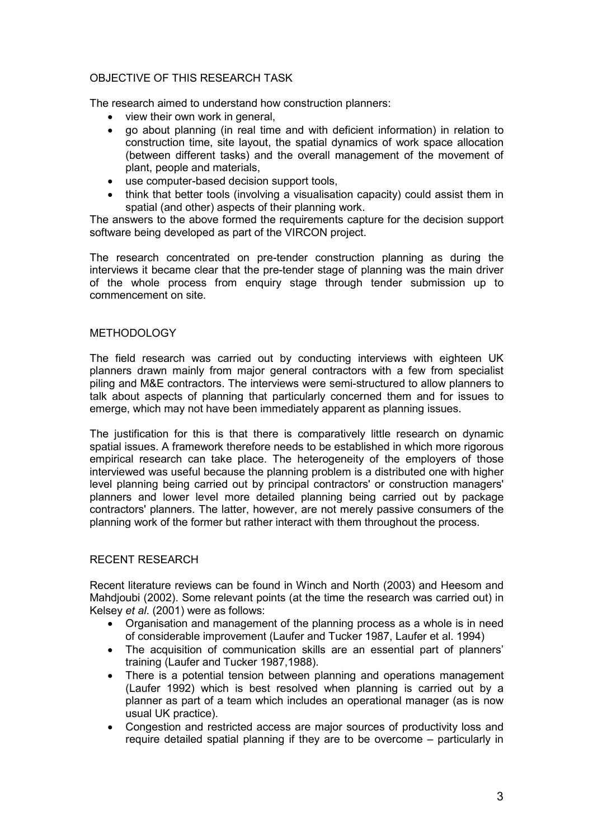# OBJECTIVE OF THIS RESEARCH TASK

The research aimed to understand how construction planners:

- view their own work in general,
- go about planning (in real time and with deficient information) in relation to construction time, site layout, the spatial dynamics of work space allocation (between different tasks) and the overall management of the movement of plant, people and materials,
- use computer-based decision support tools.
- think that better tools (involving a visualisation capacity) could assist them in spatial (and other) aspects of their planning work.

The answers to the above formed the requirements capture for the decision support software being developed as part of the VIRCON project.

The research concentrated on pre-tender construction planning as during the interviews it became clear that the pre-tender stage of planning was the main driver of the whole process from enquiry stage through tender submission up to commencement on site.

# METHODOLOGY

The field research was carried out by conducting interviews with eighteen UK planners drawn mainly from major general contractors with a few from specialist piling and M&E contractors. The interviews were semi-structured to allow planners to talk about aspects of planning that particularly concerned them and for issues to emerge, which may not have been immediately apparent as planning issues.

The justification for this is that there is comparatively little research on dynamic spatial issues. A framework therefore needs to be established in which more rigorous empirical research can take place. The heterogeneity of the employers of those interviewed was useful because the planning problem is a distributed one with higher level planning being carried out by principal contractors' or construction managers' planners and lower level more detailed planning being carried out by package contractors' planners. The latter, however, are not merely passive consumers of the planning work of the former but rather interact with them throughout the process.

# RECENT RESEARCH

Recent literature reviews can be found in Winch and North (2003) and Heesom and Mahdjoubi (2002). Some relevant points (at the time the research was carried out) in Kelsey et al. (2001) were as follows:

- Organisation and management of the planning process as a whole is in need of considerable improvement (Laufer and Tucker 1987, Laufer et al. 1994)
- The acquisition of communication skills are an essential part of planners' training (Laufer and Tucker 1987,1988).
- There is a potential tension between planning and operations management (Laufer 1992) which is best resolved when planning is carried out by a planner as part of a team which includes an operational manager (as is now usual UK practice).
- Congestion and restricted access are major sources of productivity loss and require detailed spatial planning if they are to be overcome – particularly in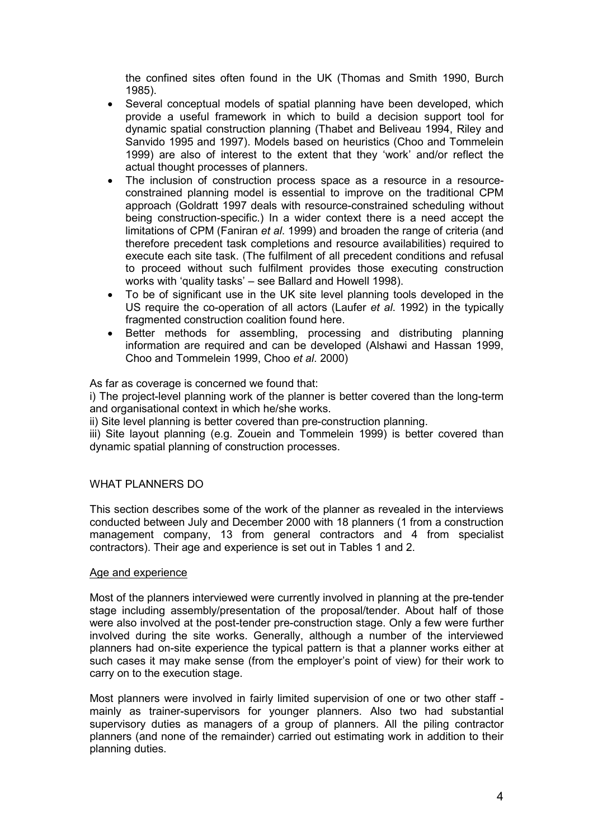the confined sites often found in the UK (Thomas and Smith 1990, Burch 1985).

- Several conceptual models of spatial planning have been developed, which provide a useful framework in which to build a decision support tool for dynamic spatial construction planning (Thabet and Beliveau 1994, Riley and Sanvido 1995 and 1997). Models based on heuristics (Choo and Tommelein 1999) are also of interest to the extent that they 'work' and/or reflect the actual thought processes of planners.
- The inclusion of construction process space as a resource in a resourceconstrained planning model is essential to improve on the traditional CPM approach (Goldratt 1997 deals with resource-constrained scheduling without being construction-specific.) In a wider context there is a need accept the limitations of CPM (Faniran et al. 1999) and broaden the range of criteria (and therefore precedent task completions and resource availabilities) required to execute each site task. (The fulfilment of all precedent conditions and refusal to proceed without such fulfilment provides those executing construction works with 'quality tasks' – see Ballard and Howell 1998).
- To be of significant use in the UK site level planning tools developed in the US require the co-operation of all actors (Laufer et al. 1992) in the typically fragmented construction coalition found here.
- Better methods for assembling, processing and distributing planning information are required and can be developed (Alshawi and Hassan 1999, Choo and Tommelein 1999, Choo et al. 2000)

As far as coverage is concerned we found that:

i) The project-level planning work of the planner is better covered than the long-term and organisational context in which he/she works.

ii) Site level planning is better covered than pre-construction planning.

iii) Site layout planning (e.g. Zouein and Tommelein 1999) is better covered than dynamic spatial planning of construction processes.

# WHAT PLANNERS DO

This section describes some of the work of the planner as revealed in the interviews conducted between July and December 2000 with 18 planners (1 from a construction management company, 13 from general contractors and 4 from specialist contractors). Their age and experience is set out in Tables 1 and 2.

#### Age and experience

Most of the planners interviewed were currently involved in planning at the pre-tender stage including assembly/presentation of the proposal/tender. About half of those were also involved at the post-tender pre-construction stage. Only a few were further involved during the site works. Generally, although a number of the interviewed planners had on-site experience the typical pattern is that a planner works either at such cases it may make sense (from the employer's point of view) for their work to carry on to the execution stage.

Most planners were involved in fairly limited supervision of one or two other staff mainly as trainer-supervisors for younger planners. Also two had substantial supervisory duties as managers of a group of planners. All the piling contractor planners (and none of the remainder) carried out estimating work in addition to their planning duties.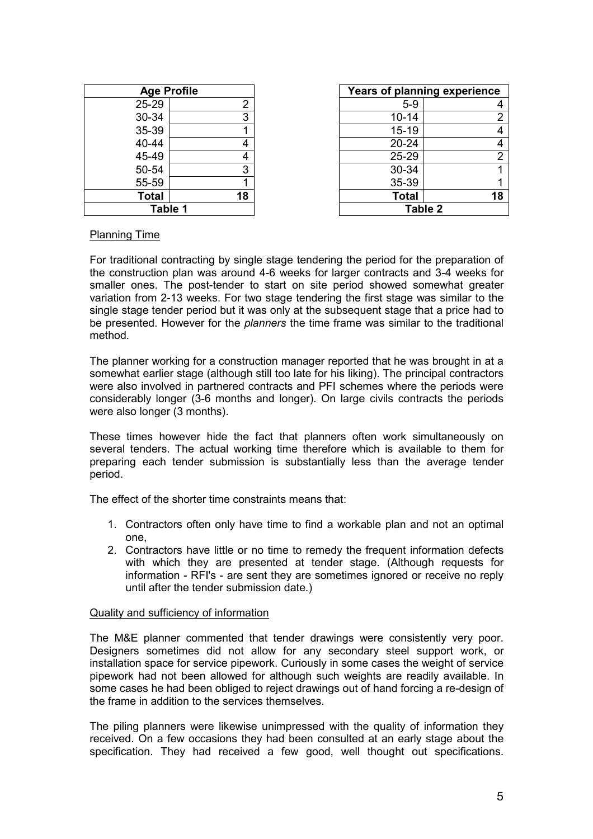| <b>Age Profile</b> |                         |  |  |
|--------------------|-------------------------|--|--|
| 25-29              | $\overline{\mathbf{c}}$ |  |  |
| 30-34              | $\overline{3}$          |  |  |
| 35-39              | 1                       |  |  |
| 40-44              | 4                       |  |  |
| 45-49              | 4                       |  |  |
| 50-54              | 3                       |  |  |
| 55-59              | 1                       |  |  |
| <b>Total</b>       | 18                      |  |  |
| Table 1            |                         |  |  |

| <b>Age Profile</b> |    | Years of planning experience |    |
|--------------------|----|------------------------------|----|
| 25-29              | 2  | $5-9$                        |    |
| 30-34              | 3  | $10 - 14$                    |    |
| 35-39              |    | $15 - 19$                    |    |
| 40-44              | 4  | $20 - 24$                    |    |
| 45-49              | 4  | 25-29                        |    |
| 50-54              | 3  | 30-34                        |    |
| 55-59              |    | 35-39                        |    |
| <b>Total</b>       | 18 | <b>Total</b>                 | 18 |
| Table 1            |    | <b>Table 2</b>               |    |

#### Planning Time

For traditional contracting by single stage tendering the period for the preparation of the construction plan was around 4-6 weeks for larger contracts and 3-4 weeks for smaller ones. The post-tender to start on site period showed somewhat greater variation from 2-13 weeks. For two stage tendering the first stage was similar to the single stage tender period but it was only at the subsequent stage that a price had to be presented. However for the *planners* the time frame was similar to the traditional method.

The planner working for a construction manager reported that he was brought in at a somewhat earlier stage (although still too late for his liking). The principal contractors were also involved in partnered contracts and PFI schemes where the periods were considerably longer (3-6 months and longer). On large civils contracts the periods were also longer (3 months).

These times however hide the fact that planners often work simultaneously on several tenders. The actual working time therefore which is available to them for preparing each tender submission is substantially less than the average tender period.

The effect of the shorter time constraints means that:

- 1. Contractors often only have time to find a workable plan and not an optimal one,
- 2. Contractors have little or no time to remedy the frequent information defects with which they are presented at tender stage. (Although requests for information - RFI's - are sent they are sometimes ignored or receive no reply until after the tender submission date.)

#### Quality and sufficiency of information

The M&E planner commented that tender drawings were consistently very poor. Designers sometimes did not allow for any secondary steel support work, or installation space for service pipework. Curiously in some cases the weight of service pipework had not been allowed for although such weights are readily available. In some cases he had been obliged to reject drawings out of hand forcing a re-design of the frame in addition to the services themselves.

The piling planners were likewise unimpressed with the quality of information they received. On a few occasions they had been consulted at an early stage about the specification. They had received a few good, well thought out specifications.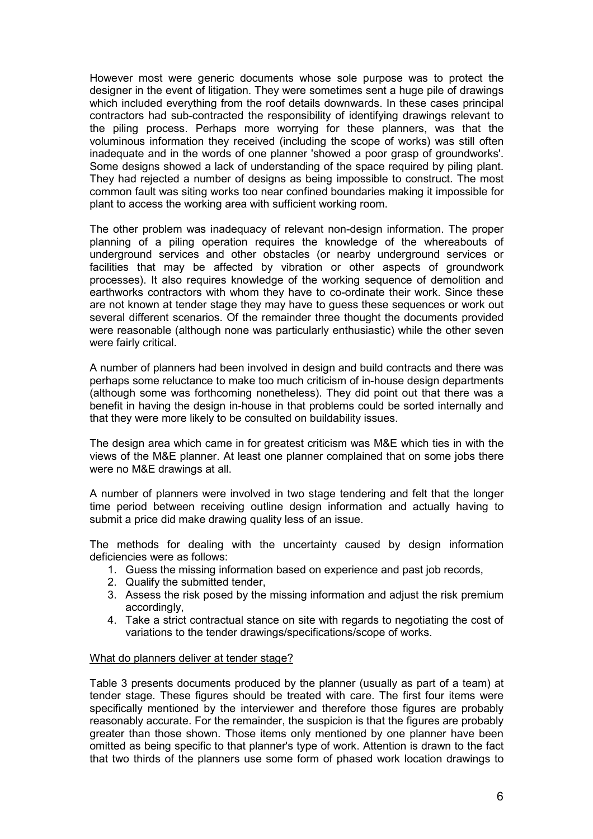However most were generic documents whose sole purpose was to protect the designer in the event of litigation. They were sometimes sent a huge pile of drawings which included everything from the roof details downwards. In these cases principal contractors had sub-contracted the responsibility of identifying drawings relevant to the piling process. Perhaps more worrying for these planners, was that the voluminous information they received (including the scope of works) was still often inadequate and in the words of one planner 'showed a poor grasp of groundworks'. Some designs showed a lack of understanding of the space required by piling plant. They had rejected a number of designs as being impossible to construct. The most common fault was siting works too near confined boundaries making it impossible for plant to access the working area with sufficient working room.

The other problem was inadequacy of relevant non-design information. The proper planning of a piling operation requires the knowledge of the whereabouts of underground services and other obstacles (or nearby underground services or facilities that may be affected by vibration or other aspects of groundwork processes). It also requires knowledge of the working sequence of demolition and earthworks contractors with whom they have to co-ordinate their work. Since these are not known at tender stage they may have to guess these sequences or work out several different scenarios. Of the remainder three thought the documents provided were reasonable (although none was particularly enthusiastic) while the other seven were fairly critical.

A number of planners had been involved in design and build contracts and there was perhaps some reluctance to make too much criticism of in-house design departments (although some was forthcoming nonetheless). They did point out that there was a benefit in having the design in-house in that problems could be sorted internally and that they were more likely to be consulted on buildability issues.

The design area which came in for greatest criticism was M&E which ties in with the views of the M&E planner. At least one planner complained that on some jobs there were no M&E drawings at all.

A number of planners were involved in two stage tendering and felt that the longer time period between receiving outline design information and actually having to submit a price did make drawing quality less of an issue.

The methods for dealing with the uncertainty caused by design information deficiencies were as follows:

- 1. Guess the missing information based on experience and past job records,
- 2. Qualify the submitted tender,
- 3. Assess the risk posed by the missing information and adjust the risk premium accordingly,
- 4. Take a strict contractual stance on site with regards to negotiating the cost of variations to the tender drawings/specifications/scope of works.

#### What do planners deliver at tender stage?

Table 3 presents documents produced by the planner (usually as part of a team) at tender stage. These figures should be treated with care. The first four items were specifically mentioned by the interviewer and therefore those figures are probably reasonably accurate. For the remainder, the suspicion is that the figures are probably greater than those shown. Those items only mentioned by one planner have been omitted as being specific to that planner's type of work. Attention is drawn to the fact that two thirds of the planners use some form of phased work location drawings to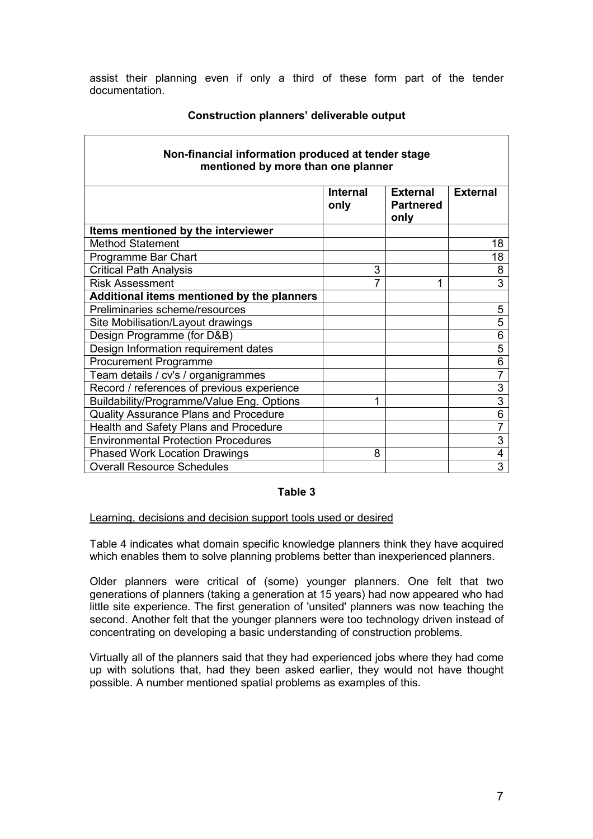assist their planning even if only a third of these form part of the tender documentation.

| Non-financial information produced at tender stage<br>mentioned by more than one planner |                         |                                             |                         |  |
|------------------------------------------------------------------------------------------|-------------------------|---------------------------------------------|-------------------------|--|
|                                                                                          | <b>Internal</b><br>only | <b>External</b><br><b>Partnered</b><br>only | <b>External</b>         |  |
| Items mentioned by the interviewer                                                       |                         |                                             |                         |  |
| <b>Method Statement</b>                                                                  |                         |                                             | 18                      |  |
| Programme Bar Chart                                                                      |                         |                                             | 18                      |  |
| <b>Critical Path Analysis</b>                                                            | 3                       |                                             | 8                       |  |
| <b>Risk Assessment</b>                                                                   |                         | 1                                           | 3                       |  |
| Additional items mentioned by the planners                                               |                         |                                             |                         |  |
| Preliminaries scheme/resources                                                           |                         |                                             | 5                       |  |
| Site Mobilisation/Layout drawings                                                        |                         |                                             | 5                       |  |
| Design Programme (for D&B)                                                               |                         |                                             | 6                       |  |
| Design Information requirement dates                                                     |                         |                                             | 5                       |  |
| <b>Procurement Programme</b>                                                             |                         |                                             | 6                       |  |
| Team details / cv's / organigrammes                                                      |                         |                                             | $\overline{7}$          |  |
| Record / references of previous experience                                               |                         |                                             | $\overline{3}$          |  |
| Buildability/Programme/Value Eng. Options                                                | 1                       |                                             | $\overline{3}$          |  |
| <b>Quality Assurance Plans and Procedure</b>                                             |                         |                                             | $\overline{6}$          |  |
| Health and Safety Plans and Procedure                                                    |                         |                                             | $\overline{7}$          |  |
| <b>Environmental Protection Procedures</b>                                               |                         |                                             | 3                       |  |
| <b>Phased Work Location Drawings</b>                                                     | 8                       |                                             | $\overline{\mathbf{4}}$ |  |
| <b>Overall Resource Schedules</b>                                                        |                         |                                             | 3                       |  |

# Construction planners' deliverable output

#### Table 3

#### Learning, decisions and decision support tools used or desired

Table 4 indicates what domain specific knowledge planners think they have acquired which enables them to solve planning problems better than inexperienced planners.

Older planners were critical of (some) younger planners. One felt that two generations of planners (taking a generation at 15 years) had now appeared who had little site experience. The first generation of 'unsited' planners was now teaching the second. Another felt that the younger planners were too technology driven instead of concentrating on developing a basic understanding of construction problems.

Virtually all of the planners said that they had experienced jobs where they had come up with solutions that, had they been asked earlier, they would not have thought possible. A number mentioned spatial problems as examples of this.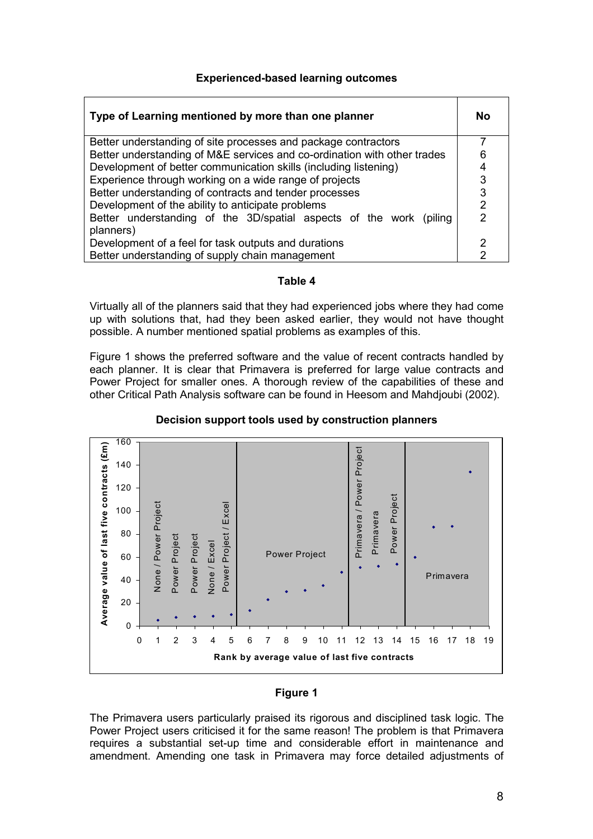# Experienced-based learning outcomes

| Type of Learning mentioned by more than one planner                             |                |  |
|---------------------------------------------------------------------------------|----------------|--|
| Better understanding of site processes and package contractors                  | ⇁              |  |
| Better understanding of M&E services and co-ordination with other trades        |                |  |
| Development of better communication skills (including listening)                |                |  |
| Experience through working on a wide range of projects                          |                |  |
| Better understanding of contracts and tender processes                          |                |  |
| Development of the ability to anticipate problems                               |                |  |
| Better understanding of the 3D/spatial aspects of the work (piling<br>planners) | $\overline{2}$ |  |
| Development of a feel for task outputs and durations                            |                |  |
| Better understanding of supply chain management                                 |                |  |

#### Table 4

Virtually all of the planners said that they had experienced jobs where they had come up with solutions that, had they been asked earlier, they would not have thought possible. A number mentioned spatial problems as examples of this.

Figure 1 shows the preferred software and the value of recent contracts handled by each planner. It is clear that Primavera is preferred for large value contracts and Power Project for smaller ones. A thorough review of the capabilities of these and other Critical Path Analysis software can be found in Heesom and Mahdjoubi (2002).



# Decision support tools used by construction planners

# Figure 1

The Primavera users particularly praised its rigorous and disciplined task logic. The Power Project users criticised it for the same reason! The problem is that Primavera requires a substantial set-up time and considerable effort in maintenance and amendment. Amending one task in Primavera may force detailed adjustments of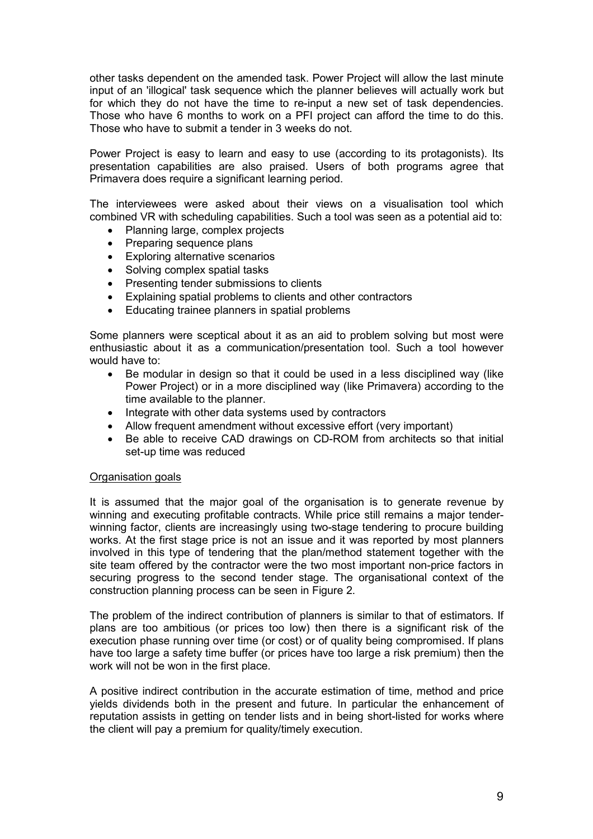other tasks dependent on the amended task. Power Project will allow the last minute input of an 'illogical' task sequence which the planner believes will actually work but for which they do not have the time to re-input a new set of task dependencies. Those who have 6 months to work on a PFI project can afford the time to do this. Those who have to submit a tender in 3 weeks do not.

Power Project is easy to learn and easy to use (according to its protagonists). Its presentation capabilities are also praised. Users of both programs agree that Primavera does require a significant learning period.

The interviewees were asked about their views on a visualisation tool which combined VR with scheduling capabilities. Such a tool was seen as a potential aid to:

- Planning large, complex projects
- Preparing sequence plans
- Exploring alternative scenarios
- Solving complex spatial tasks
- Presenting tender submissions to clients
- Explaining spatial problems to clients and other contractors
- Educating trainee planners in spatial problems

Some planners were sceptical about it as an aid to problem solving but most were enthusiastic about it as a communication/presentation tool. Such a tool however would have to:

- Be modular in design so that it could be used in a less disciplined way (like Power Project) or in a more disciplined way (like Primavera) according to the time available to the planner.
- Integrate with other data systems used by contractors
- Allow frequent amendment without excessive effort (very important)
- Be able to receive CAD drawings on CD-ROM from architects so that initial set-up time was reduced

#### Organisation goals

It is assumed that the major goal of the organisation is to generate revenue by winning and executing profitable contracts. While price still remains a major tenderwinning factor, clients are increasingly using two-stage tendering to procure building works. At the first stage price is not an issue and it was reported by most planners involved in this type of tendering that the plan/method statement together with the site team offered by the contractor were the two most important non-price factors in securing progress to the second tender stage. The organisational context of the construction planning process can be seen in Figure 2.

The problem of the indirect contribution of planners is similar to that of estimators. If plans are too ambitious (or prices too low) then there is a significant risk of the execution phase running over time (or cost) or of quality being compromised. If plans have too large a safety time buffer (or prices have too large a risk premium) then the work will not be won in the first place.

A positive indirect contribution in the accurate estimation of time, method and price yields dividends both in the present and future. In particular the enhancement of reputation assists in getting on tender lists and in being short-listed for works where the client will pay a premium for quality/timely execution.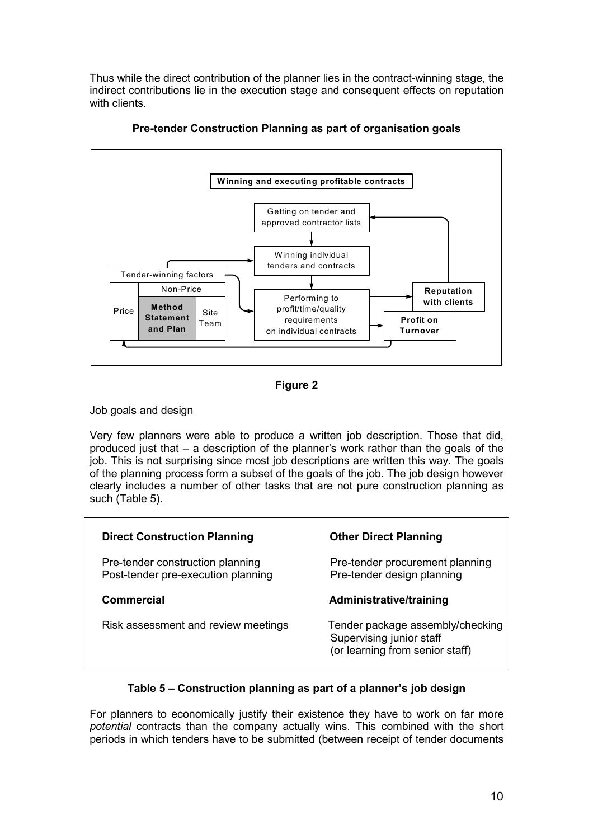Thus while the direct contribution of the planner lies in the contract-winning stage, the indirect contributions lie in the execution stage and consequent effects on reputation with clients.



Pre-tender Construction Planning as part of organisation goals



# Job goals and design

Very few planners were able to produce a written job description. Those that did, produced just that – a description of the planner's work rather than the goals of the job. This is not surprising since most job descriptions are written this way. The goals of the planning process form a subset of the goals of the job. The job design however clearly includes a number of other tasks that are not pure construction planning as such (Table 5).

| <b>Direct Construction Planning</b>                                    | <b>Other Direct Planning</b>                                                                    |
|------------------------------------------------------------------------|-------------------------------------------------------------------------------------------------|
| Pre-tender construction planning<br>Post-tender pre-execution planning | Pre-tender procurement planning<br>Pre-tender design planning                                   |
| Commercial                                                             | Administrative/training                                                                         |
| Risk assessment and review meetings                                    | Tender package assembly/checking<br>Supervising junior staff<br>(or learning from senior staff) |

# Table 5 – Construction planning as part of a planner's job design

For planners to economically justify their existence they have to work on far more potential contracts than the company actually wins. This combined with the short periods in which tenders have to be submitted (between receipt of tender documents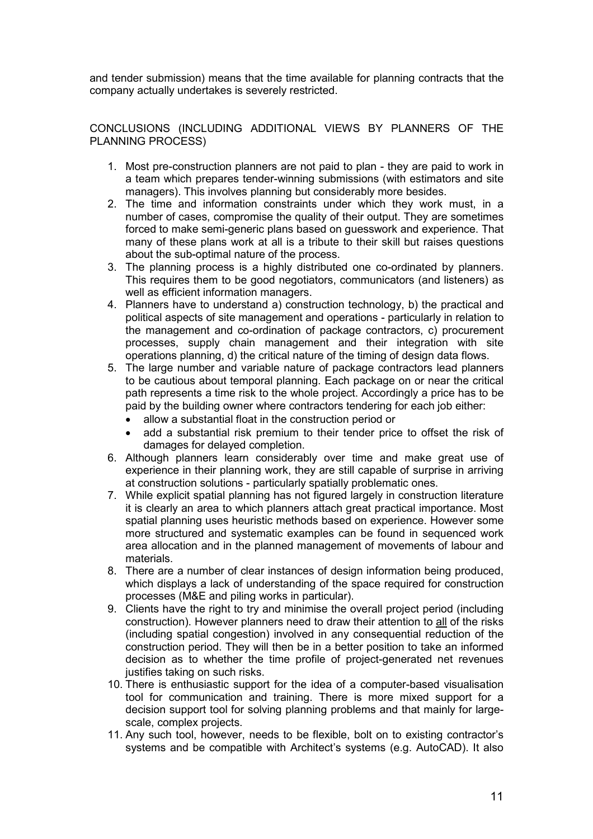and tender submission) means that the time available for planning contracts that the company actually undertakes is severely restricted.

CONCLUSIONS (INCLUDING ADDITIONAL VIEWS BY PLANNERS OF THE PLANNING PROCESS)

- 1. Most pre-construction planners are not paid to plan they are paid to work in a team which prepares tender-winning submissions (with estimators and site managers). This involves planning but considerably more besides.
- 2. The time and information constraints under which they work must, in a number of cases, compromise the quality of their output. They are sometimes forced to make semi-generic plans based on guesswork and experience. That many of these plans work at all is a tribute to their skill but raises questions about the sub-optimal nature of the process.
- 3. The planning process is a highly distributed one co-ordinated by planners. This requires them to be good negotiators, communicators (and listeners) as well as efficient information managers.
- 4. Planners have to understand a) construction technology, b) the practical and political aspects of site management and operations - particularly in relation to the management and co-ordination of package contractors, c) procurement processes, supply chain management and their integration with site operations planning, d) the critical nature of the timing of design data flows.
- 5. The large number and variable nature of package contractors lead planners to be cautious about temporal planning. Each package on or near the critical path represents a time risk to the whole project. Accordingly a price has to be paid by the building owner where contractors tendering for each job either:
	- allow a substantial float in the construction period or
	- add a substantial risk premium to their tender price to offset the risk of damages for delayed completion.
- 6. Although planners learn considerably over time and make great use of experience in their planning work, they are still capable of surprise in arriving at construction solutions - particularly spatially problematic ones.
- 7. While explicit spatial planning has not figured largely in construction literature it is clearly an area to which planners attach great practical importance. Most spatial planning uses heuristic methods based on experience. However some more structured and systematic examples can be found in sequenced work area allocation and in the planned management of movements of labour and materials.
- 8. There are a number of clear instances of design information being produced, which displays a lack of understanding of the space required for construction processes (M&E and piling works in particular).
- 9. Clients have the right to try and minimise the overall project period (including construction). However planners need to draw their attention to all of the risks (including spatial congestion) involved in any consequential reduction of the construction period. They will then be in a better position to take an informed decision as to whether the time profile of project-generated net revenues justifies taking on such risks.
- 10. There is enthusiastic support for the idea of a computer-based visualisation tool for communication and training. There is more mixed support for a decision support tool for solving planning problems and that mainly for largescale, complex projects.
- 11. Any such tool, however, needs to be flexible, bolt on to existing contractor's systems and be compatible with Architect's systems (e.g. AutoCAD). It also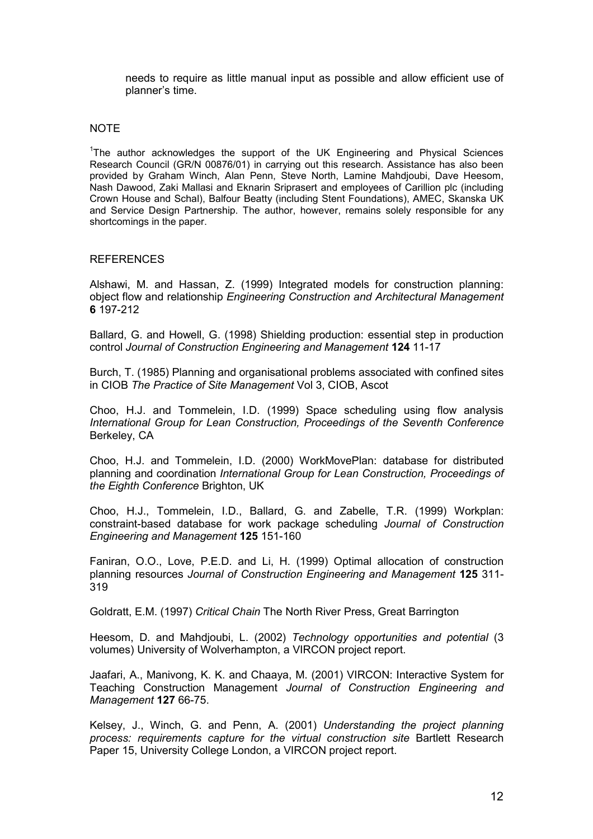needs to require as little manual input as possible and allow efficient use of planner's time.

#### **NOTE**

<sup>1</sup>The author acknowledges the support of the UK Engineering and Physical Sciences Research Council (GR/N 00876/01) in carrying out this research. Assistance has also been provided by Graham Winch, Alan Penn, Steve North, Lamine Mahdjoubi, Dave Heesom, Nash Dawood, Zaki Mallasi and Eknarin Sriprasert and employees of Carillion plc (including Crown House and Schal), Balfour Beatty (including Stent Foundations), AMEC, Skanska UK and Service Design Partnership. The author, however, remains solely responsible for any shortcomings in the paper.

#### **REFERENCES**

Alshawi, M. and Hassan, Z. (1999) Integrated models for construction planning: object flow and relationship Engineering Construction and Architectural Management 6 197-212

Ballard, G. and Howell, G. (1998) Shielding production: essential step in production control Journal of Construction Engineering and Management 124 11-17

Burch, T. (1985) Planning and organisational problems associated with confined sites in CIOB The Practice of Site Management Vol 3, CIOB, Ascot

Choo, H.J. and Tommelein, I.D. (1999) Space scheduling using flow analysis International Group for Lean Construction, Proceedings of the Seventh Conference Berkeley, CA

Choo, H.J. and Tommelein, I.D. (2000) WorkMovePlan: database for distributed planning and coordination International Group for Lean Construction, Proceedings of the Eighth Conference Brighton, UK

Choo, H.J., Tommelein, I.D., Ballard, G. and Zabelle, T.R. (1999) Workplan: constraint-based database for work package scheduling Journal of Construction Engineering and Management 125 151-160

Faniran, O.O., Love, P.E.D. and Li, H. (1999) Optimal allocation of construction planning resources Journal of Construction Engineering and Management 125 311- 319

Goldratt, E.M. (1997) Critical Chain The North River Press, Great Barrington

Heesom, D. and Mahdjoubi, L. (2002) Technology opportunities and potential (3 volumes) University of Wolverhampton, a VIRCON project report.

Jaafari, A., Manivong, K. K. and Chaaya, M. (2001) VIRCON: Interactive System for Teaching Construction Management Journal of Construction Engineering and Management 127 66-75.

Kelsey, J., Winch, G. and Penn, A. (2001) Understanding the project planning process: requirements capture for the virtual construction site Bartlett Research Paper 15, University College London, a VIRCON project report.